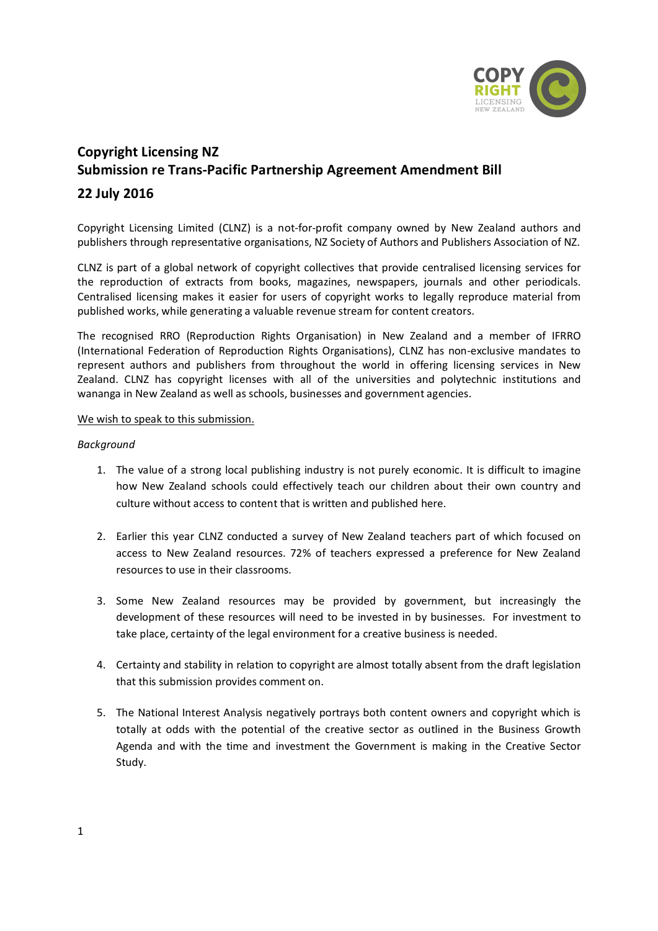

# **Copyright Licensing NZ Submission re Trans-Pacific Partnership Agreement Amendment Bill**

## **22 July 2016**

Copyright Licensing Limited (CLNZ) is a not-for-profit company owned by New Zealand authors and publishers through representative organisations, NZ Society of Authors and Publishers Association of NZ.

CLNZ is part of a global network of copyright collectives that provide centralised licensing services for the reproduction of extracts from books, magazines, newspapers, journals and other periodicals. Centralised licensing makes it easier for users of copyright works to legally reproduce material from published works, while generating a valuable revenue stream for content creators.

The recognised RRO (Reproduction Rights Organisation) in New Zealand and a member of IFRRO (International Federation of Reproduction Rights Organisations), CLNZ has non-exclusive mandates to represent authors and publishers from throughout the world in offering licensing services in New Zealand. CLNZ has copyright licenses with all of the universities and polytechnic institutions and wananga in New Zealand as well as schools, businesses and government agencies.

#### We wish to speak to this submission.

### *Background*

- 1. The value of a strong local publishing industry is not purely economic. It is difficult to imagine how New Zealand schools could effectively teach our children about their own country and culture without access to content that is written and published here.
- 2. Earlier this year CLNZ conducted a survey of New Zealand teachers part of which focused on access to New Zealand resources. 72% of teachers expressed a preference for New Zealand resources to use in their classrooms.
- 3. Some New Zealand resources may be provided by government, but increasingly the development of these resources will need to be invested in by businesses. For investment to take place, certainty of the legal environment for a creative business is needed.
- 4. Certainty and stability in relation to copyright are almost totally absent from the draft legislation that this submission provides comment on.
- 5. The National Interest Analysis negatively portrays both content owners and copyright which is totally at odds with the potential of the creative sector as outlined in the Business Growth Agenda and with the time and investment the Government is making in the Creative Sector Study.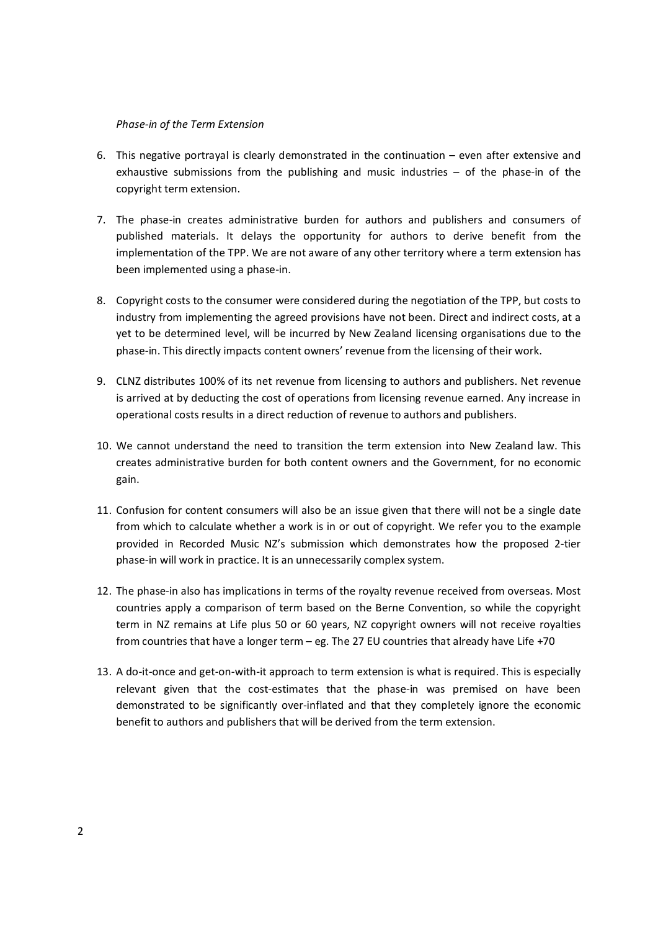#### *Phase-in of the Term Extension*

- 6. This negative portrayal is clearly demonstrated in the continuation even after extensive and exhaustive submissions from the publishing and music industries – of the phase-in of the copyright term extension.
- 7. The phase-in creates administrative burden for authors and publishers and consumers of published materials. It delays the opportunity for authors to derive benefit from the implementation of the TPP. We are not aware of any other territory where a term extension has been implemented using a phase-in.
- 8. Copyright costs to the consumer were considered during the negotiation of the TPP, but costs to industry from implementing the agreed provisions have not been. Direct and indirect costs, at a yet to be determined level, will be incurred by New Zealand licensing organisations due to the phase-in. This directly impacts content owners' revenue from the licensing of their work.
- 9. CLNZ distributes 100% of its net revenue from licensing to authors and publishers. Net revenue is arrived at by deducting the cost of operations from licensing revenue earned. Any increase in operational costs results in a direct reduction of revenue to authors and publishers.
- 10. We cannot understand the need to transition the term extension into New Zealand law. This creates administrative burden for both content owners and the Government, for no economic gain.
- 11. Confusion for content consumers will also be an issue given that there will not be a single date from which to calculate whether a work is in or out of copyright. We refer you to the example provided in Recorded Music NZ's submission which demonstrates how the proposed 2-tier phase-in will work in practice. It is an unnecessarily complex system.
- 12. The phase-in also has implications in terms of the royalty revenue received from overseas. Most countries apply a comparison of term based on the Berne Convention, so while the copyright term in NZ remains at Life plus 50 or 60 years, NZ copyright owners will not receive royalties from countries that have a longer term – eg. The 27 EU countries that already have Life +70
- 13. A do-it-once and get-on-with-it approach to term extension is what is required. This is especially relevant given that the cost-estimates that the phase-in was premised on have been demonstrated to be significantly over-inflated and that they completely ignore the economic benefit to authors and publishers that will be derived from the term extension.